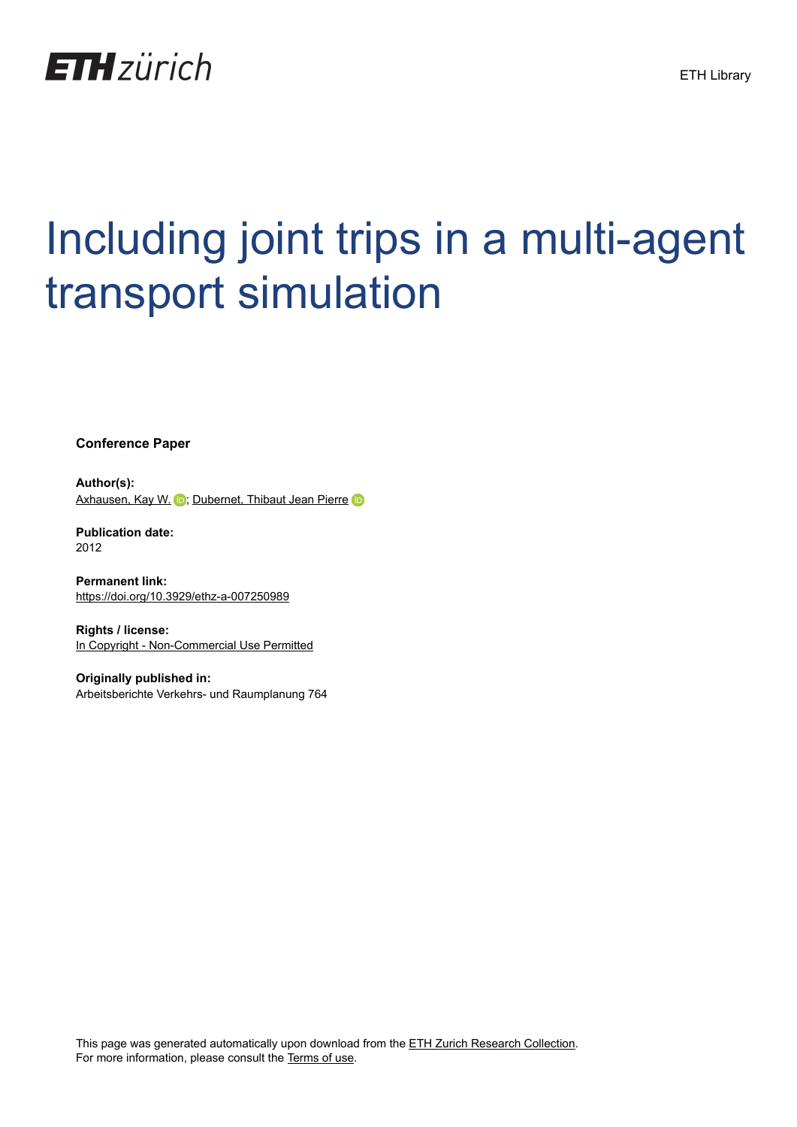

# Including joint trips in a multi-agent transport simulation

**Conference Paper**

**Author(s):** [Axhausen, Kay W.](https://orcid.org/0000-0003-3331-1318) D; [Dubernet, Thibaut Jean Pierre](https://orcid.org/0000-0001-9741-9999) iD

**Publication date:** 2012

**Permanent link:** <https://doi.org/10.3929/ethz-a-007250989>

**Rights / license:** [In Copyright - Non-Commercial Use Permitted](http://rightsstatements.org/page/InC-NC/1.0/)

**Originally published in:** Arbeitsberichte Verkehrs- und Raumplanung 764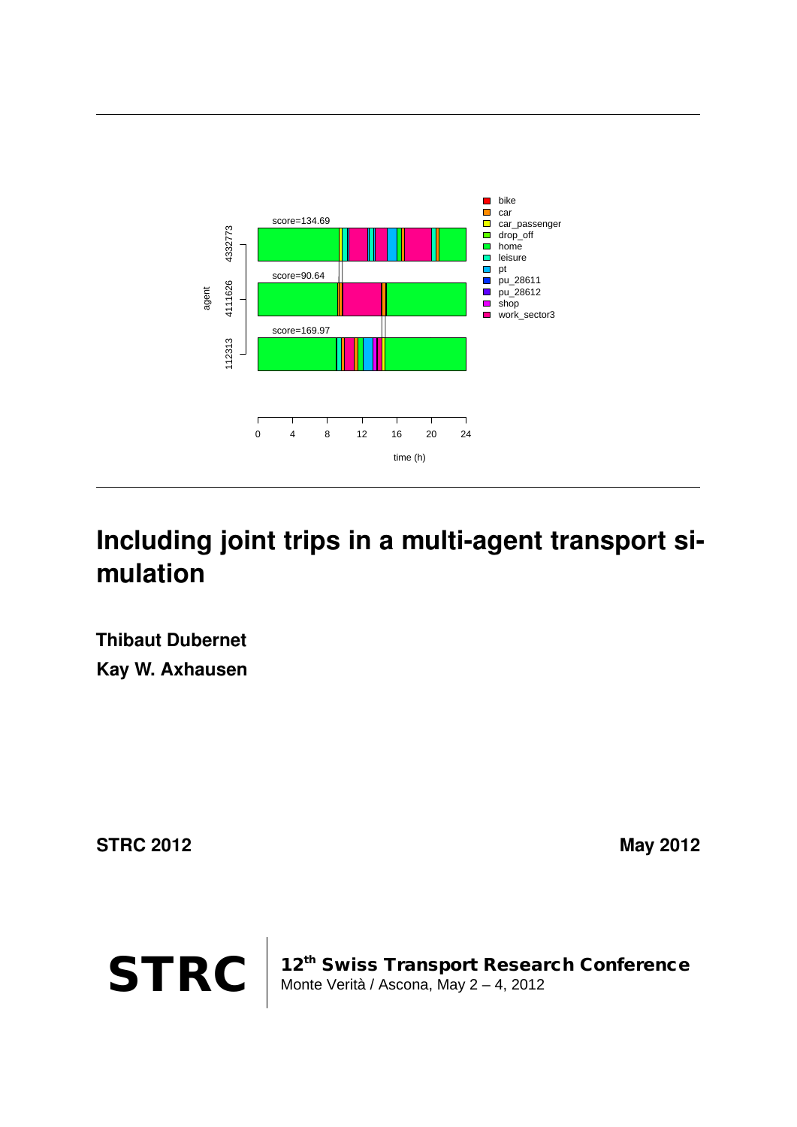

# **Including joint trips in a multi-agent transport simulation**

**Thibaut Dubernet Kay W. Axhausen**

**STRC 2012** May 2012



STRC | 12<sup>th</sup> Swiss Transport Research Conference<br>Monte Verità / Ascona, May 2 – 4, 2012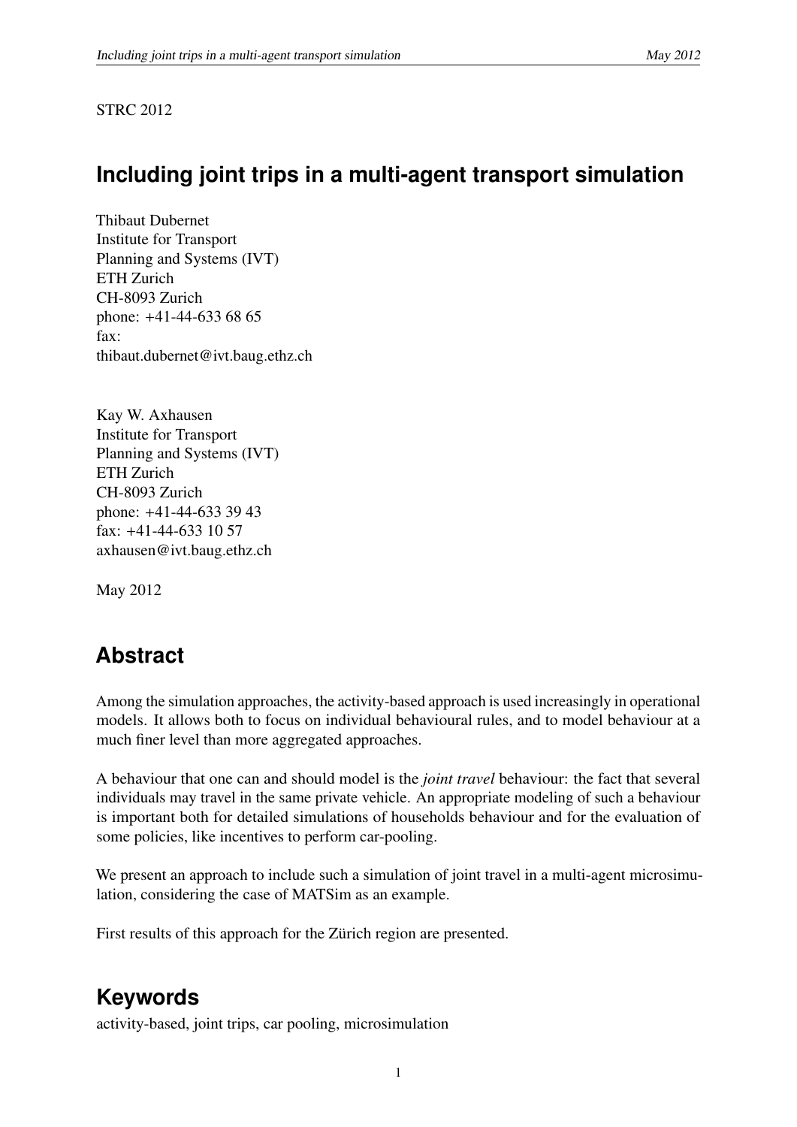#### STRC 2012

# **Including joint trips in a multi-agent transport simulation**

Thibaut Dubernet Institute for Transport Planning and Systems (IVT) ETH Zurich CH-8093 Zurich phone: +41-44-633 68 65 fax: thibaut.dubernet@ivt.baug.ethz.ch

Kay W. Axhausen Institute for Transport Planning and Systems (IVT) ETH Zurich CH-8093 Zurich phone: +41-44-633 39 43 fax: +41-44-633 10 57 axhausen@ivt.baug.ethz.ch

May 2012

# **Abstract**

Among the simulation approaches, the activity-based approach is used increasingly in operational models. It allows both to focus on individual behavioural rules, and to model behaviour at a much finer level than more aggregated approaches.

A behaviour that one can and should model is the *joint travel* behaviour: the fact that several individuals may travel in the same private vehicle. An appropriate modeling of such a behaviour is important both for detailed simulations of households behaviour and for the evaluation of some policies, like incentives to perform car-pooling.

We present an approach to include such a simulation of joint travel in a multi-agent microsimulation, considering the case of MATSim as an example.

First results of this approach for the Zürich region are presented.

# **Keywords**

activity-based, joint trips, car pooling, microsimulation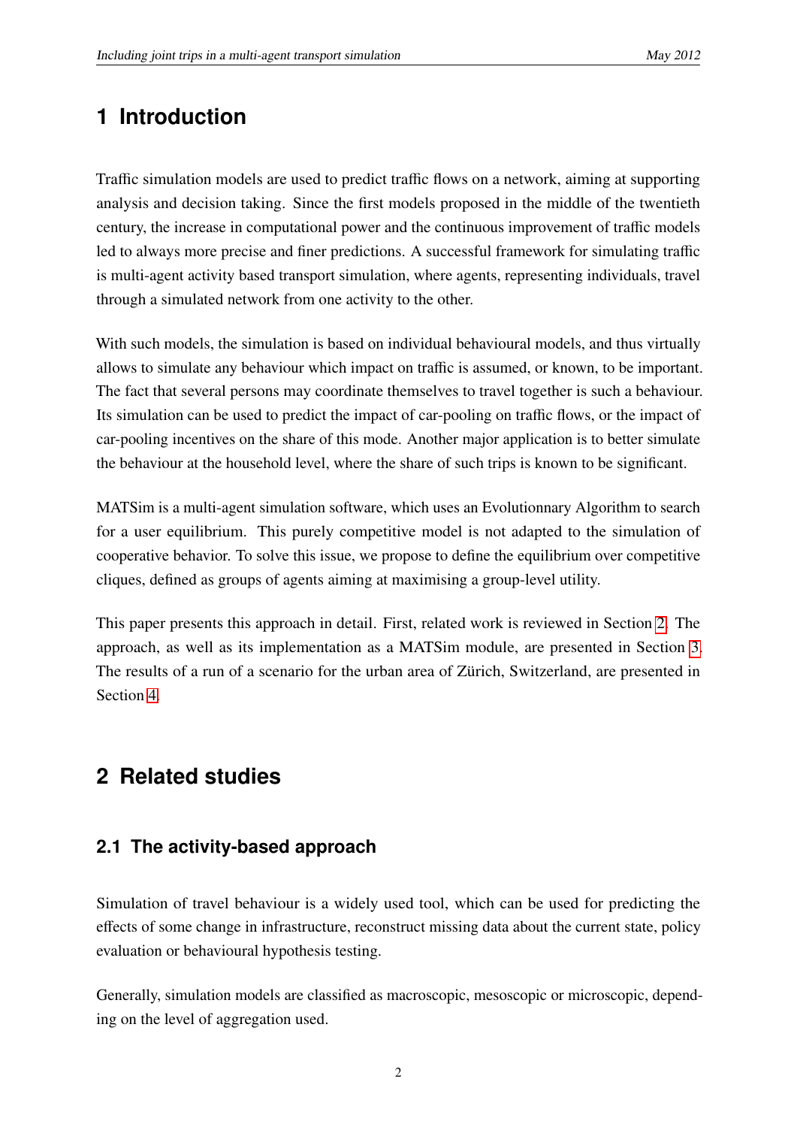# **1 Introduction**

Traffic simulation models are used to predict traffic flows on a network, aiming at supporting analysis and decision taking. Since the first models proposed in the middle of the twentieth century, the increase in computational power and the continuous improvement of traffic models led to always more precise and finer predictions. A successful framework for simulating traffic is multi-agent activity based transport simulation, where agents, representing individuals, travel through a simulated network from one activity to the other.

With such models, the simulation is based on individual behavioural models, and thus virtually allows to simulate any behaviour which impact on traffic is assumed, or known, to be important. The fact that several persons may coordinate themselves to travel together is such a behaviour. Its simulation can be used to predict the impact of car-pooling on traffic flows, or the impact of car-pooling incentives on the share of this mode. Another major application is to better simulate the behaviour at the household level, where the share of such trips is known to be significant.

MATSim is a multi-agent simulation software, which uses an Evolutionnary Algorithm to search for a user equilibrium. This purely competitive model is not adapted to the simulation of cooperative behavior. To solve this issue, we propose to define the equilibrium over competitive cliques, defined as groups of agents aiming at maximising a group-level utility.

This paper presents this approach in detail. First, related work is reviewed in Section [2.](#page-3-0) The approach, as well as its implementation as a MATSim module, are presented in Section [3.](#page-9-0) The results of a run of a scenario for the urban area of Zürich, Switzerland, are presented in Section [4.](#page-12-0)

# <span id="page-3-0"></span>**2 Related studies**

## **2.1 The activity-based approach**

Simulation of travel behaviour is a widely used tool, which can be used for predicting the effects of some change in infrastructure, reconstruct missing data about the current state, policy evaluation or behavioural hypothesis testing.

Generally, simulation models are classified as macroscopic, mesoscopic or microscopic, depending on the level of aggregation used.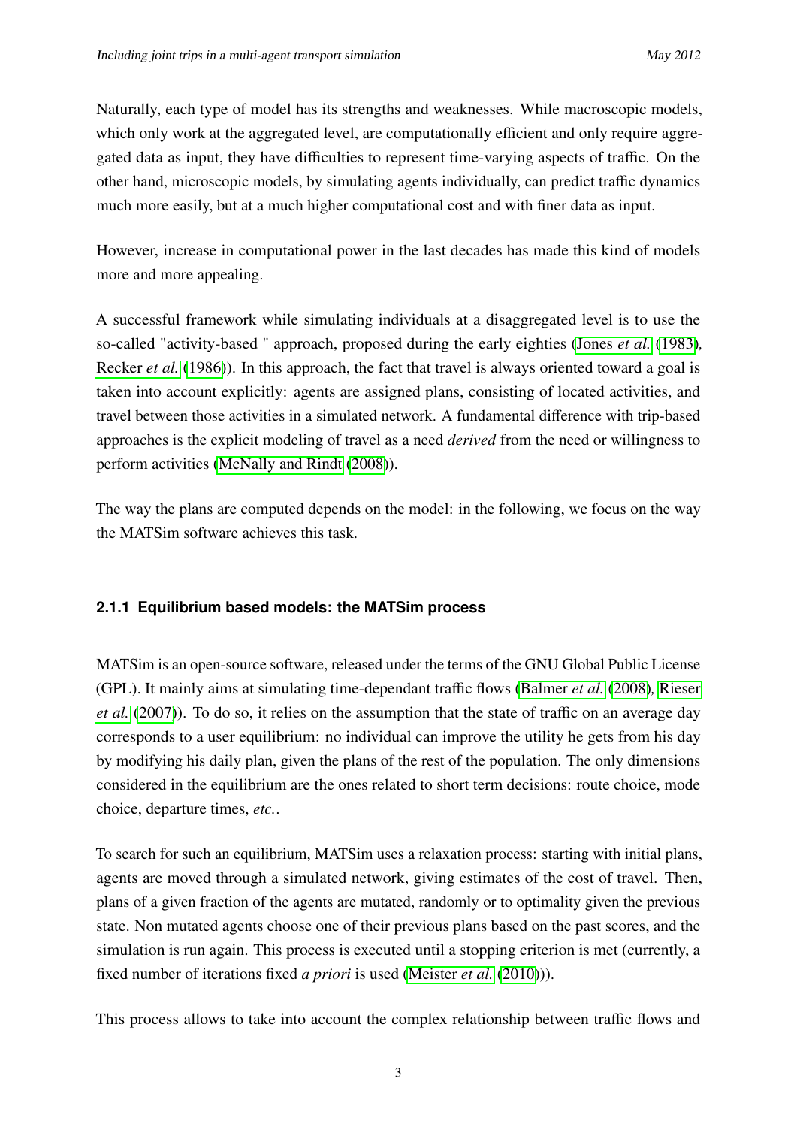Naturally, each type of model has its strengths and weaknesses. While macroscopic models, which only work at the aggregated level, are computationally efficient and only require aggregated data as input, they have difficulties to represent time-varying aspects of traffic. On the other hand, microscopic models, by simulating agents individually, can predict traffic dynamics much more easily, but at a much higher computational cost and with finer data as input.

However, increase in computational power in the last decades has made this kind of models more and more appealing.

A successful framework while simulating individuals at a disaggregated level is to use the so-called "activity-based " approach, proposed during the early eighties [\(Jones](#page-22-0) *et al.* [\(1983\)](#page-22-0)*,* [Recker](#page-23-0) *et al.* [\(1986\)](#page-23-0)). In this approach, the fact that travel is always oriented toward a goal is taken into account explicitly: agents are assigned plans, consisting of located activities, and travel between those activities in a simulated network. A fundamental difference with trip-based approaches is the explicit modeling of travel as a need *derived* from the need or willingness to perform activities [\(McNally and Rindt](#page-22-1) [\(2008\)](#page-22-1)).

The way the plans are computed depends on the model: in the following, we focus on the way the MATSim software achieves this task.

## <span id="page-4-0"></span>**2.1.1 Equilibrium based models: the MATSim process**

MATSim is an open-source software, released under the terms of the GNU Global Public License (GPL). It mainly aims at simulating time-dependant traffic flows [\(Balmer](#page-21-0) *et al.* [\(2008\)](#page-21-0)*,* [Rieser](#page-23-1) *[et al.](#page-23-1)* [\(2007\)](#page-23-1)). To do so, it relies on the assumption that the state of traffic on an average day corresponds to a user equilibrium: no individual can improve the utility he gets from his day by modifying his daily plan, given the plans of the rest of the population. The only dimensions considered in the equilibrium are the ones related to short term decisions: route choice, mode choice, departure times, *etc.*.

To search for such an equilibrium, MATSim uses a relaxation process: starting with initial plans, agents are moved through a simulated network, giving estimates of the cost of travel. Then, plans of a given fraction of the agents are mutated, randomly or to optimality given the previous state. Non mutated agents choose one of their previous plans based on the past scores, and the simulation is run again. This process is executed until a stopping criterion is met (currently, a fixed number of iterations fixed *a priori* is used [\(Meister](#page-23-2) *et al.* [\(2010\)](#page-23-2))).

This process allows to take into account the complex relationship between traffic flows and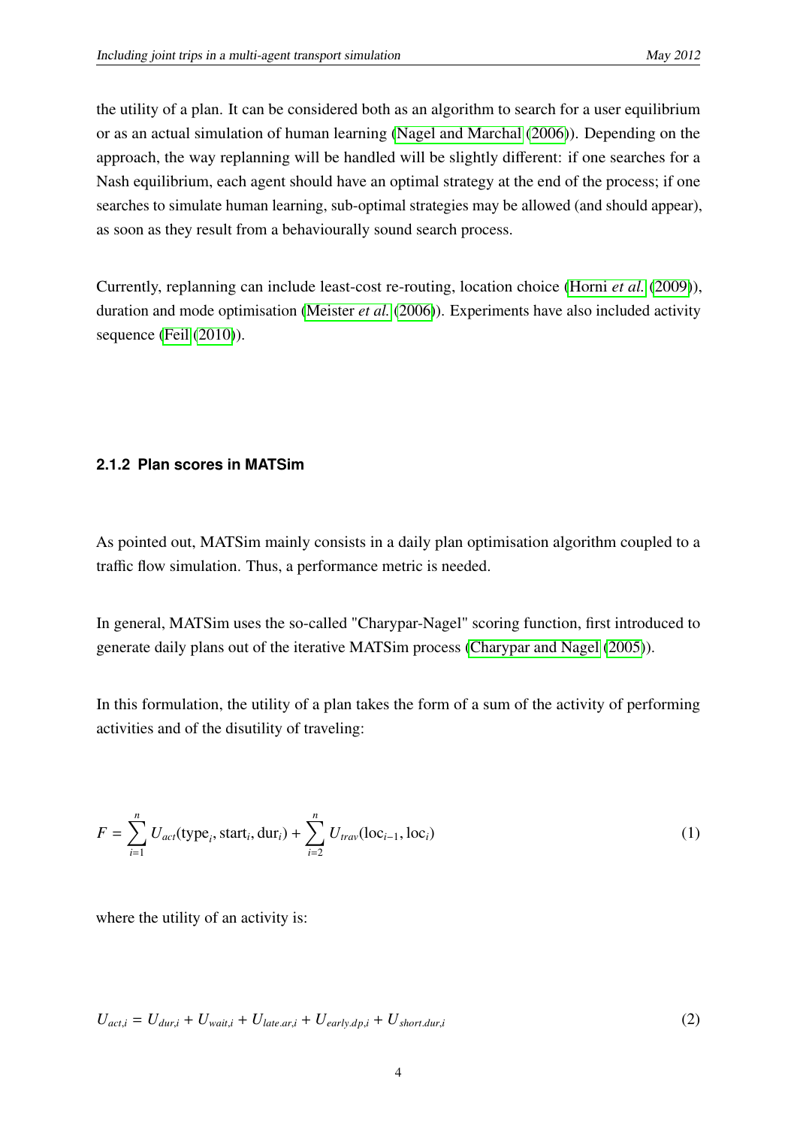the utility of a plan. It can be considered both as an algorithm to search for a user equilibrium or as an actual simulation of human learning [\(Nagel and Marchal](#page-23-3) [\(2006\)](#page-23-3)). Depending on the approach, the way replanning will be handled will be slightly different: if one searches for a Nash equilibrium, each agent should have an optimal strategy at the end of the process; if one searches to simulate human learning, sub-optimal strategies may be allowed (and should appear), as soon as they result from a behaviourally sound search process.

Currently, replanning can include least-cost re-routing, location choice [\(Horni](#page-22-2) *et al.* [\(2009\)](#page-22-2)), duration and mode optimisation [\(Meister](#page-23-4) *et al.* [\(2006\)](#page-23-4)). Experiments have also included activity sequence [\(Feil](#page-22-3) [\(2010\)](#page-22-3)).

#### **2.1.2 Plan scores in MATSim**

As pointed out, MATSim mainly consists in a daily plan optimisation algorithm coupled to a traffic flow simulation. Thus, a performance metric is needed.

In general, MATSim uses the so-called "Charypar-Nagel" scoring function, first introduced to generate daily plans out of the iterative MATSim process [\(Charypar and Nagel](#page-21-1) [\(2005\)](#page-21-1)).

In this formulation, the utility of a plan takes the form of a sum of the activity of performing activities and of the disutility of traveling:

$$
F = \sum_{i=1}^{n} U_{act}(\text{type}_i, \text{start}_i, \text{dur}_i) + \sum_{i=2}^{n} U_{trav}(\text{loc}_{i-1}, \text{loc}_i)
$$
 (1)

where the utility of an activity is:

$$
U_{act,i} = U_{dur,i} + U_{wait,i} + U_{late, ar,i} + U_{early, dp,i} + U_{short, dur,i}
$$
\n
$$
(2)
$$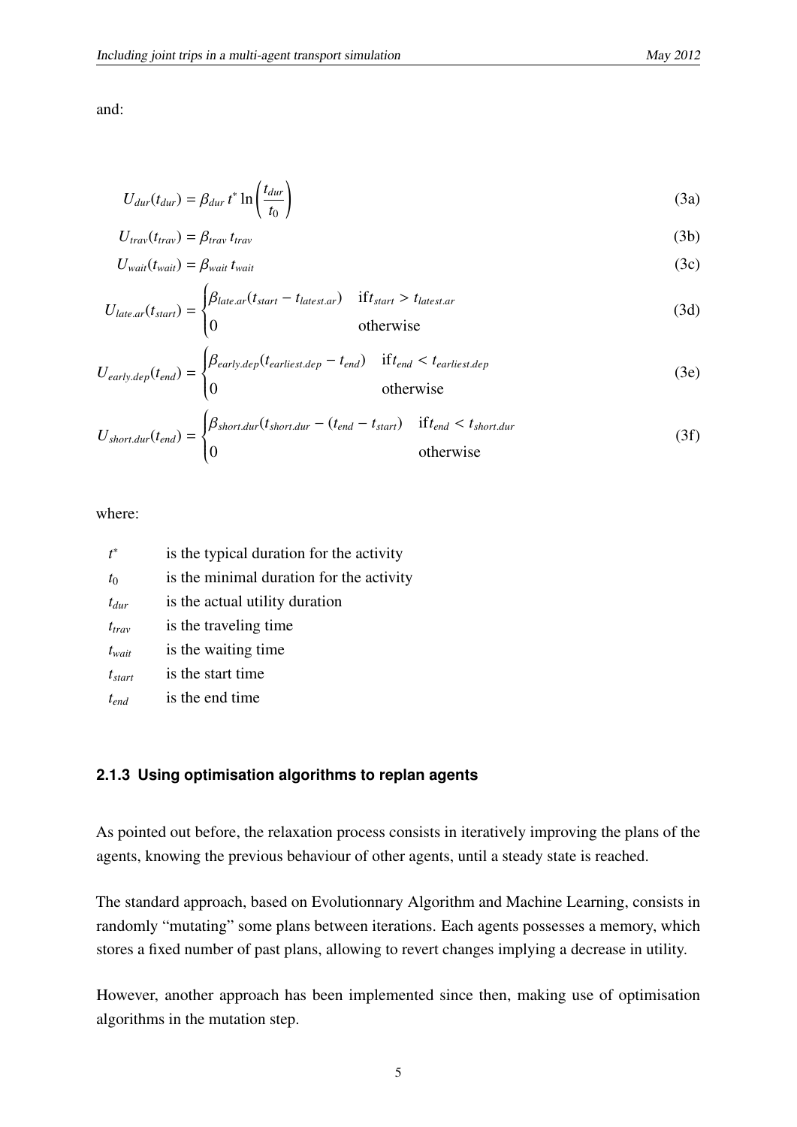and:

$$
U_{dur}(t_{dur}) = \beta_{dur} t^* \ln \left( \frac{t_{dur}}{t_0} \right) \tag{3a}
$$

$$
U_{\text{trav}}(t_{\text{trav}}) = \beta_{\text{trav}} t_{\text{trav}} \tag{3b}
$$

$$
U_{wait}(t_{wait}) = \beta_{wait} t_{wait} \tag{3c}
$$

$$
U_{\text{late.ar}}(t_{\text{start}}) = \begin{cases} \beta_{\text{late.ar}}(t_{\text{start}} - t_{\text{latent.ar}}) & \text{if } t_{\text{start}} > t_{\text{latent.ar}} \\ 0 & \text{otherwise} \end{cases} \tag{3d}
$$

$$
U_{early.dep}(t_{end}) = \begin{cases} \beta_{early.dep}(t_{earliest.dep} - t_{end}) & if t_{end} < t_{earliest.dep} \\ 0 & otherwise \end{cases}
$$
 (3e)

$$
U_{short. dur}(t_{end}) = \begin{cases} \beta_{short. dur}(t_{short. dur} - (t_{end} - t_{start}) & \text{if } t_{end} < t_{short. dur} \\ 0 & \text{otherwise} \end{cases} \tag{3f}
$$

#### where:

| $t^*$       | is the typical duration for the activity |
|-------------|------------------------------------------|
| $t_0$       | is the minimal duration for the activity |
| $t_{dur}$   | is the actual utility duration           |
| $t_{trav}$  | is the traveling time.                   |
| $t_{wait}$  | is the waiting time                      |
| $t_{start}$ | is the start time                        |
| $t_{end}$   | is the end time                          |

#### **2.1.3 Using optimisation algorithms to replan agents**

As pointed out before, the relaxation process consists in iteratively improving the plans of the agents, knowing the previous behaviour of other agents, until a steady state is reached.

The standard approach, based on Evolutionnary Algorithm and Machine Learning, consists in randomly "mutating" some plans between iterations. Each agents possesses a memory, which stores a fixed number of past plans, allowing to revert changes implying a decrease in utility.

However, another approach has been implemented since then, making use of optimisation algorithms in the mutation step.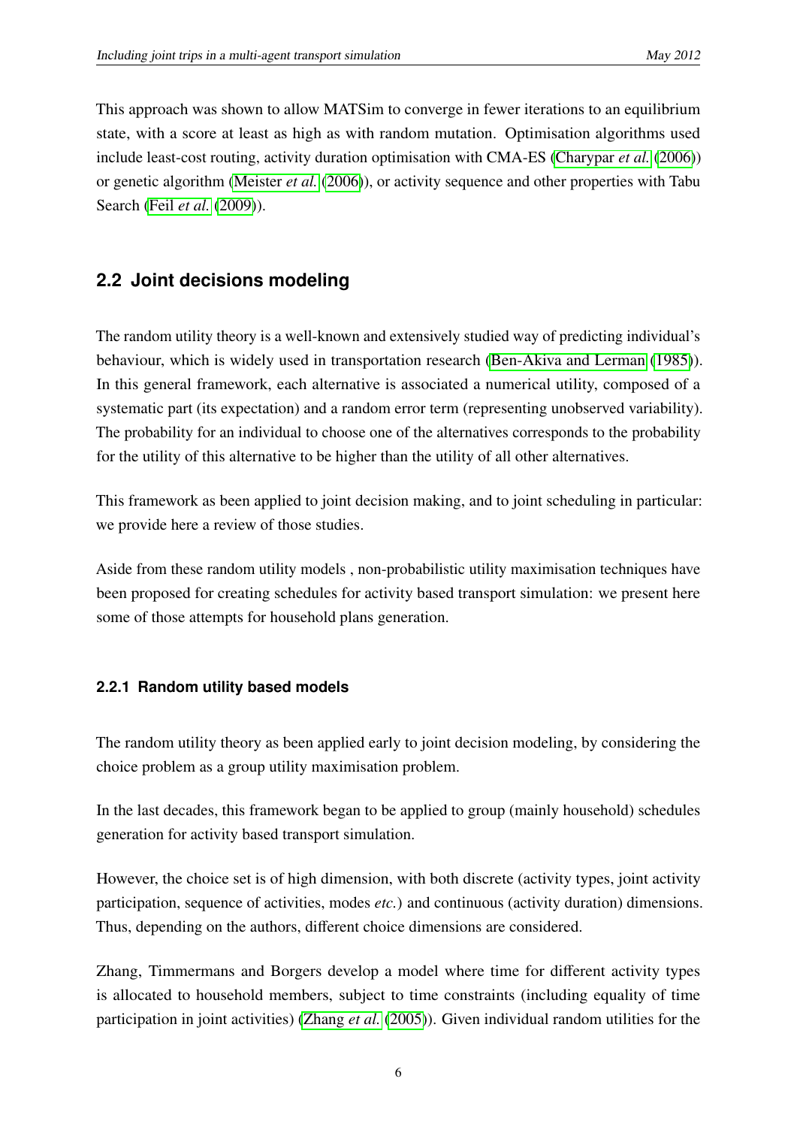This approach was shown to allow MATSim to converge in fewer iterations to an equilibrium state, with a score at least as high as with random mutation. Optimisation algorithms used include least-cost routing, activity duration optimisation with CMA-ES [\(Charypar](#page-21-2) *et al.* [\(2006\)](#page-21-2)) or genetic algorithm [\(Meister](#page-23-4) *et al.* [\(2006\)](#page-23-4)), or activity sequence and other properties with Tabu Search (Feil *[et al.](#page-22-4)* [\(2009\)](#page-22-4)).

## <span id="page-7-0"></span>**2.2 Joint decisions modeling**

The random utility theory is a well-known and extensively studied way of predicting individual's behaviour, which is widely used in transportation research [\(Ben-Akiva and Lerman](#page-21-3) [\(1985\)](#page-21-3)). In this general framework, each alternative is associated a numerical utility, composed of a systematic part (its expectation) and a random error term (representing unobserved variability). The probability for an individual to choose one of the alternatives corresponds to the probability for the utility of this alternative to be higher than the utility of all other alternatives.

This framework as been applied to joint decision making, and to joint scheduling in particular: we provide here a review of those studies.

Aside from these random utility models , non-probabilistic utility maximisation techniques have been proposed for creating schedules for activity based transport simulation: we present here some of those attempts for household plans generation.

## **2.2.1 Random utility based models**

The random utility theory as been applied early to joint decision modeling, by considering the choice problem as a group utility maximisation problem.

In the last decades, this framework began to be applied to group (mainly household) schedules generation for activity based transport simulation.

However, the choice set is of high dimension, with both discrete (activity types, joint activity participation, sequence of activities, modes *etc.*) and continuous (activity duration) dimensions. Thus, depending on the authors, different choice dimensions are considered.

Zhang, Timmermans and Borgers develop a model where time for different activity types is allocated to household members, subject to time constraints (including equality of time participation in joint activities) [\(Zhang](#page-23-5) *et al.* [\(2005\)](#page-23-5)). Given individual random utilities for the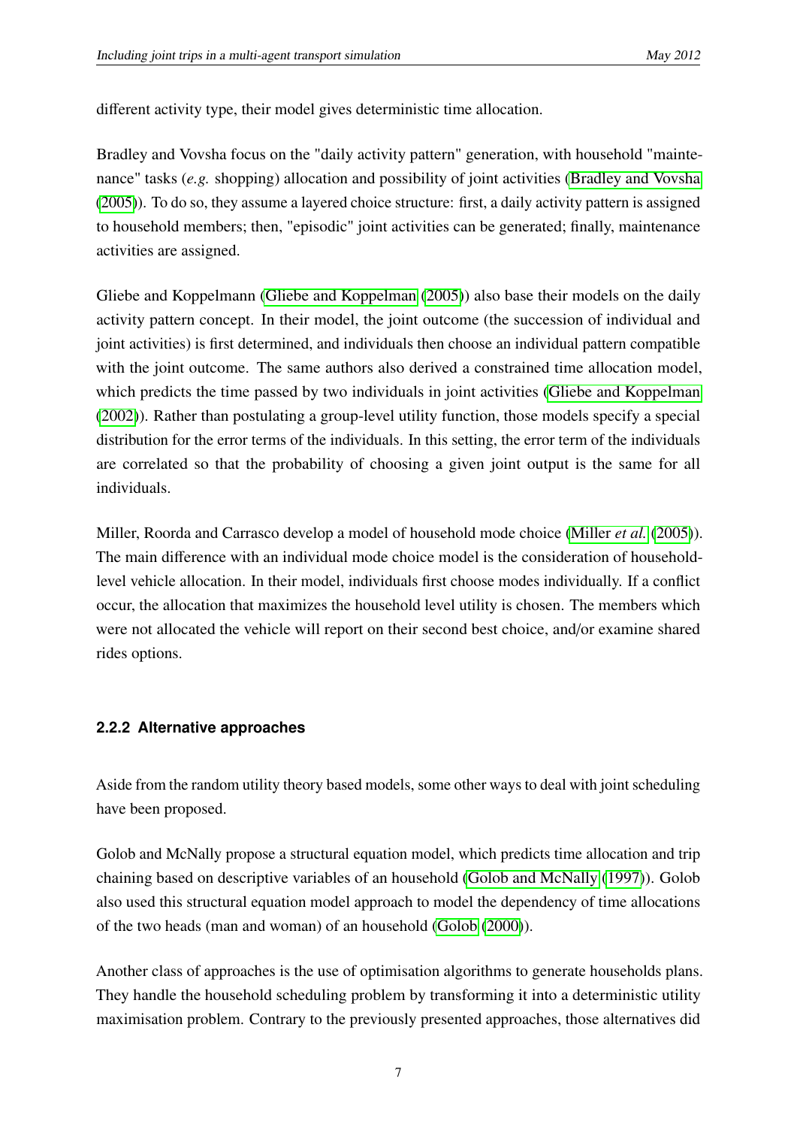different activity type, their model gives deterministic time allocation.

Bradley and Vovsha focus on the "daily activity pattern" generation, with household "maintenance" tasks (*e.g.* shopping) allocation and possibility of joint activities [\(Bradley and Vovsha](#page-21-4) [\(2005\)](#page-21-4)). To do so, they assume a layered choice structure: first, a daily activity pattern is assigned to household members; then, "episodic" joint activities can be generated; finally, maintenance activities are assigned.

Gliebe and Koppelmann [\(Gliebe and Koppelman](#page-22-5) [\(2005\)](#page-22-5)) also base their models on the daily activity pattern concept. In their model, the joint outcome (the succession of individual and joint activities) is first determined, and individuals then choose an individual pattern compatible with the joint outcome. The same authors also derived a constrained time allocation model, which predicts the time passed by two individuals in joint activities [\(Gliebe and Koppelman](#page-22-6) [\(2002\)](#page-22-6)). Rather than postulating a group-level utility function, those models specify a special distribution for the error terms of the individuals. In this setting, the error term of the individuals are correlated so that the probability of choosing a given joint output is the same for all individuals.

Miller, Roorda and Carrasco develop a model of household mode choice [\(Miller](#page-23-6) *et al.* [\(2005\)](#page-23-6)). The main difference with an individual mode choice model is the consideration of householdlevel vehicle allocation. In their model, individuals first choose modes individually. If a conflict occur, the allocation that maximizes the household level utility is chosen. The members which were not allocated the vehicle will report on their second best choice, and/or examine shared rides options.

## **2.2.2 Alternative approaches**

Aside from the random utility theory based models, some other ways to deal with joint scheduling have been proposed.

Golob and McNally propose a structural equation model, which predicts time allocation and trip chaining based on descriptive variables of an household [\(Golob and McNally](#page-22-7) [\(1997\)](#page-22-7)). Golob also used this structural equation model approach to model the dependency of time allocations of the two heads (man and woman) of an household [\(Golob](#page-22-8) [\(2000\)](#page-22-8)).

Another class of approaches is the use of optimisation algorithms to generate households plans. They handle the household scheduling problem by transforming it into a deterministic utility maximisation problem. Contrary to the previously presented approaches, those alternatives did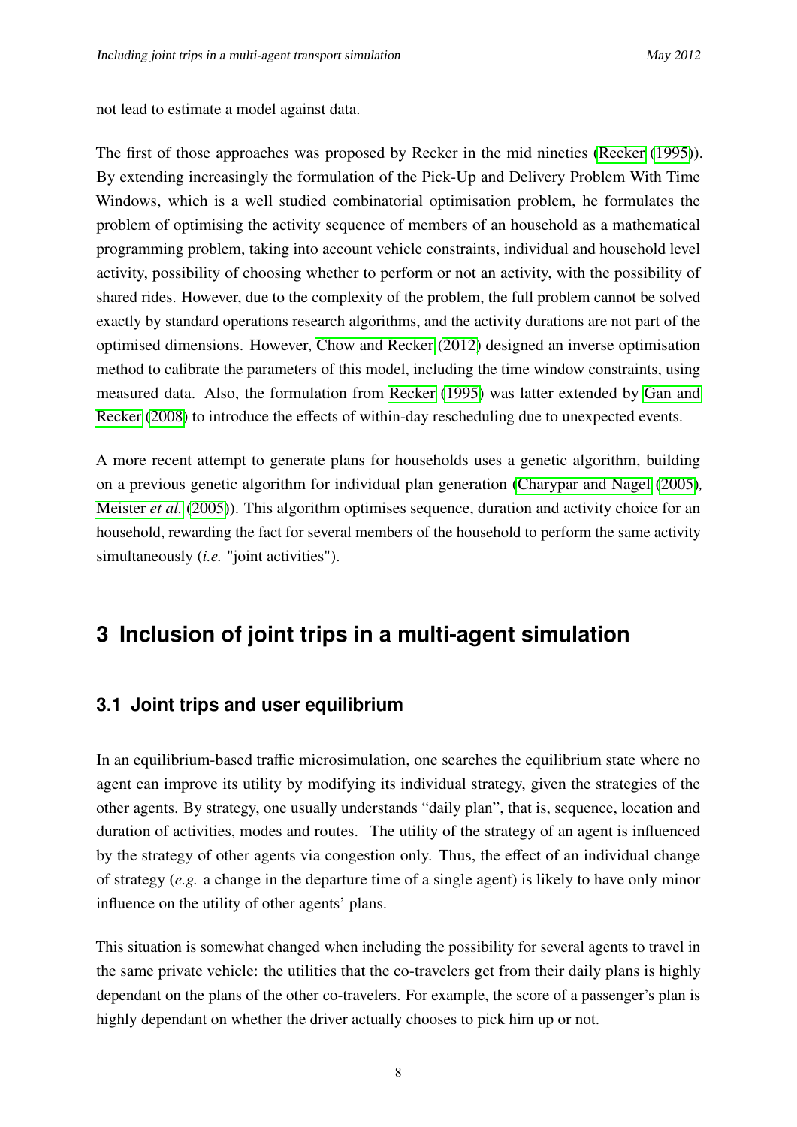not lead to estimate a model against data.

The first of those approaches was proposed by Recker in the mid nineties [\(Recker](#page-23-7) [\(1995\)](#page-23-7)). By extending increasingly the formulation of the Pick-Up and Delivery Problem With Time Windows, which is a well studied combinatorial optimisation problem, he formulates the problem of optimising the activity sequence of members of an household as a mathematical programming problem, taking into account vehicle constraints, individual and household level activity, possibility of choosing whether to perform or not an activity, with the possibility of shared rides. However, due to the complexity of the problem, the full problem cannot be solved exactly by standard operations research algorithms, and the activity durations are not part of the optimised dimensions. However, [Chow and Recker](#page-22-9) [\(2012\)](#page-22-9) designed an inverse optimisation method to calibrate the parameters of this model, including the time window constraints, using measured data. Also, the formulation from [Recker](#page-23-7) [\(1995\)](#page-23-7) was latter extended by [Gan and](#page-22-10) [Recker](#page-22-10) [\(2008\)](#page-22-10) to introduce the effects of within-day rescheduling due to unexpected events.

A more recent attempt to generate plans for households uses a genetic algorithm, building on a previous genetic algorithm for individual plan generation [\(Charypar and Nagel](#page-21-1) [\(2005\)](#page-21-1)*,* [Meister](#page-23-8) *et al.* [\(2005\)](#page-23-8)). This algorithm optimises sequence, duration and activity choice for an household, rewarding the fact for several members of the household to perform the same activity simultaneously (*i.e.* "joint activities").

# <span id="page-9-0"></span>**3 Inclusion of joint trips in a multi-agent simulation**

## **3.1 Joint trips and user equilibrium**

In an equilibrium-based traffic microsimulation, one searches the equilibrium state where no agent can improve its utility by modifying its individual strategy, given the strategies of the other agents. By strategy, one usually understands "daily plan", that is, sequence, location and duration of activities, modes and routes. The utility of the strategy of an agent is influenced by the strategy of other agents via congestion only. Thus, the effect of an individual change of strategy (*e.g.* a change in the departure time of a single agent) is likely to have only minor influence on the utility of other agents' plans.

This situation is somewhat changed when including the possibility for several agents to travel in the same private vehicle: the utilities that the co-travelers get from their daily plans is highly dependant on the plans of the other co-travelers. For example, the score of a passenger's plan is highly dependant on whether the driver actually chooses to pick him up or not.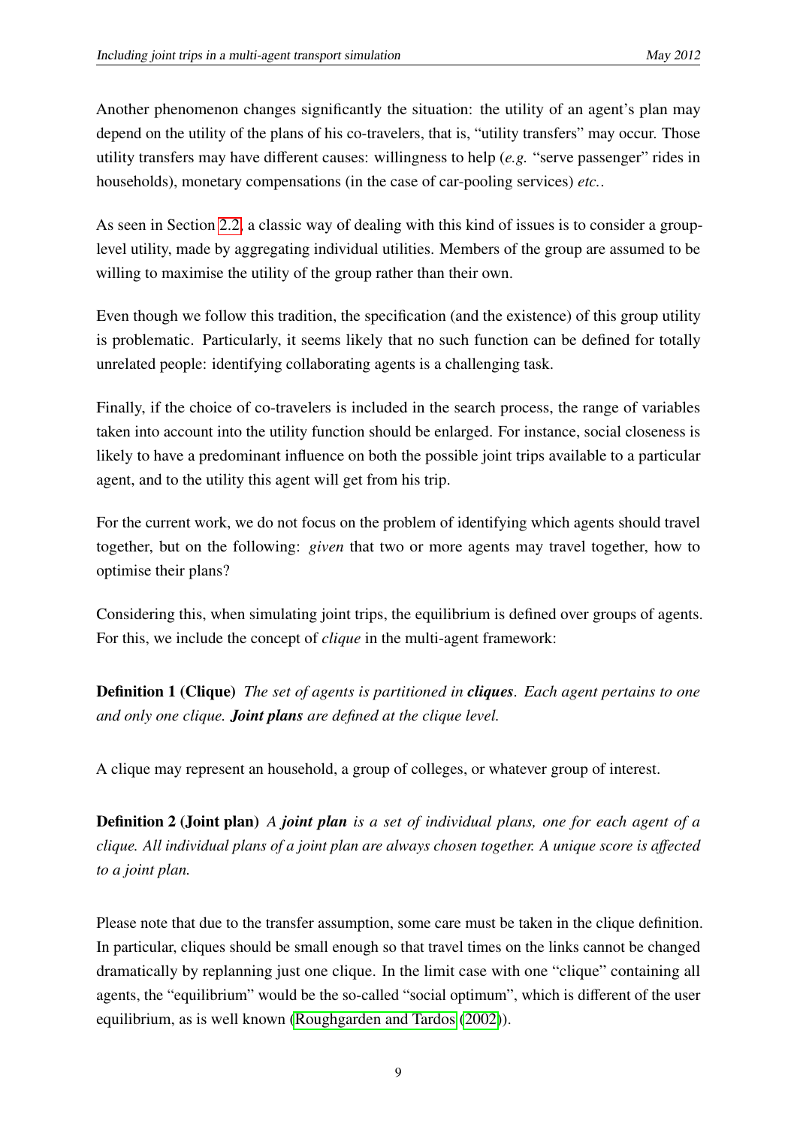Another phenomenon changes significantly the situation: the utility of an agent's plan may depend on the utility of the plans of his co-travelers, that is, "utility transfers" may occur. Those utility transfers may have different causes: willingness to help (*e.g.* "serve passenger" rides in households), monetary compensations (in the case of car-pooling services) *etc.*.

As seen in Section [2.2,](#page-7-0) a classic way of dealing with this kind of issues is to consider a grouplevel utility, made by aggregating individual utilities. Members of the group are assumed to be willing to maximise the utility of the group rather than their own.

Even though we follow this tradition, the specification (and the existence) of this group utility is problematic. Particularly, it seems likely that no such function can be defined for totally unrelated people: identifying collaborating agents is a challenging task.

Finally, if the choice of co-travelers is included in the search process, the range of variables taken into account into the utility function should be enlarged. For instance, social closeness is likely to have a predominant influence on both the possible joint trips available to a particular agent, and to the utility this agent will get from his trip.

For the current work, we do not focus on the problem of identifying which agents should travel together, but on the following: *given* that two or more agents may travel together, how to optimise their plans?

Considering this, when simulating joint trips, the equilibrium is defined over groups of agents. For this, we include the concept of *clique* in the multi-agent framework:

Definition 1 (Clique) *The set of agents is partitioned in cliques. Each agent pertains to one and only one clique. Joint plans are defined at the clique level.*

A clique may represent an household, a group of colleges, or whatever group of interest.

Definition 2 (Joint plan) *A joint plan is a set of individual plans, one for each agent of a clique. All individual plans of a joint plan are always chosen together. A unique score is a*ff*ected to a joint plan.*

Please note that due to the transfer assumption, some care must be taken in the clique definition. In particular, cliques should be small enough so that travel times on the links cannot be changed dramatically by replanning just one clique. In the limit case with one "clique" containing all agents, the "equilibrium" would be the so-called "social optimum", which is different of the user equilibrium, as is well known [\(Roughgarden and Tardos](#page-23-9) [\(2002\)](#page-23-9)).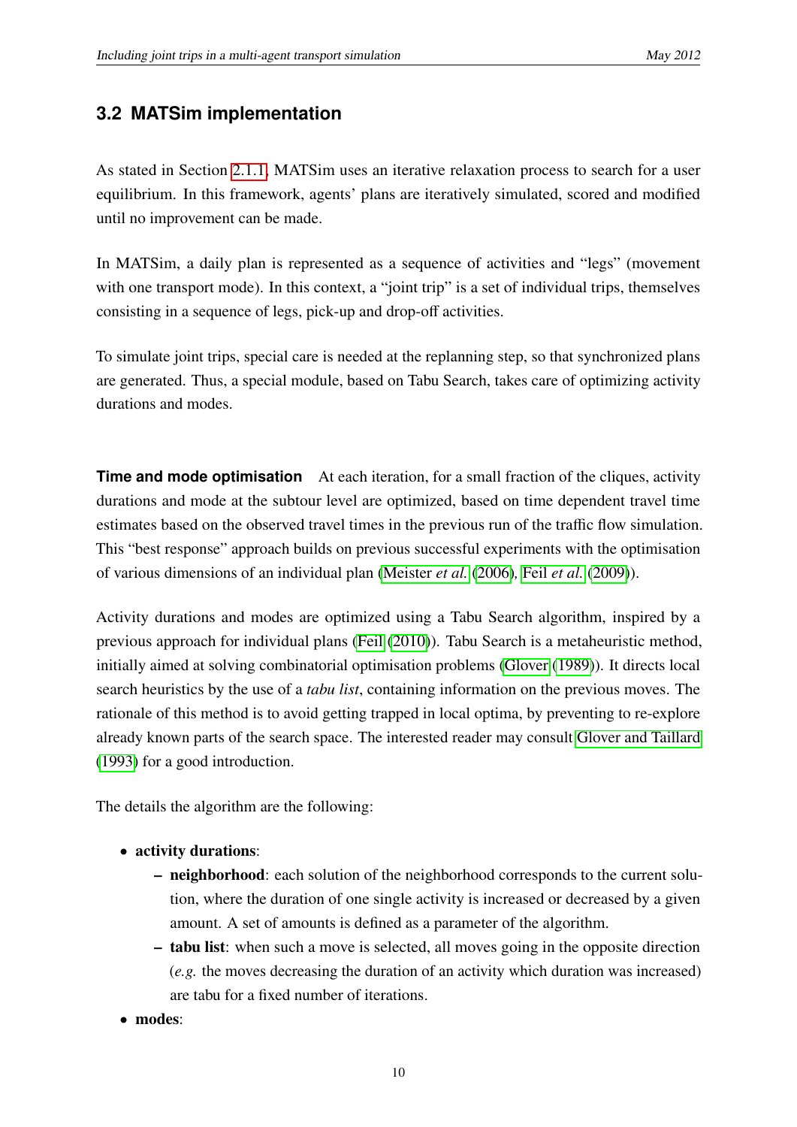# **3.2 MATSim implementation**

As stated in Section [2.1.1,](#page-4-0) MATSim uses an iterative relaxation process to search for a user equilibrium. In this framework, agents' plans are iteratively simulated, scored and modified until no improvement can be made.

In MATSim, a daily plan is represented as a sequence of activities and "legs" (movement with one transport mode). In this context, a "joint trip" is a set of individual trips, themselves consisting in a sequence of legs, pick-up and drop-off activities.

To simulate joint trips, special care is needed at the replanning step, so that synchronized plans are generated. Thus, a special module, based on Tabu Search, takes care of optimizing activity durations and modes.

**Time and mode optimisation** At each iteration, for a small fraction of the cliques, activity durations and mode at the subtour level are optimized, based on time dependent travel time estimates based on the observed travel times in the previous run of the traffic flow simulation. This "best response" approach builds on previous successful experiments with the optimisation of various dimensions of an individual plan [\(Meister](#page-23-4) *et al.* [\(2006\)](#page-23-4)*,* Feil *[et al.](#page-22-4)* [\(2009\)](#page-22-4)).

Activity durations and modes are optimized using a Tabu Search algorithm, inspired by a previous approach for individual plans [\(Feil](#page-22-3) [\(2010\)](#page-22-3)). Tabu Search is a metaheuristic method, initially aimed at solving combinatorial optimisation problems [\(Glover](#page-22-11) [\(1989\)](#page-22-11)). It directs local search heuristics by the use of a *tabu list*, containing information on the previous moves. The rationale of this method is to avoid getting trapped in local optima, by preventing to re-explore already known parts of the search space. The interested reader may consult [Glover and Taillard](#page-22-12) [\(1993\)](#page-22-12) for a good introduction.

The details the algorithm are the following:

- activity durations:
	- neighborhood: each solution of the neighborhood corresponds to the current solution, where the duration of one single activity is increased or decreased by a given amount. A set of amounts is defined as a parameter of the algorithm.
	- tabu list: when such a move is selected, all moves going in the opposite direction (*e.g.* the moves decreasing the duration of an activity which duration was increased) are tabu for a fixed number of iterations.
- modes: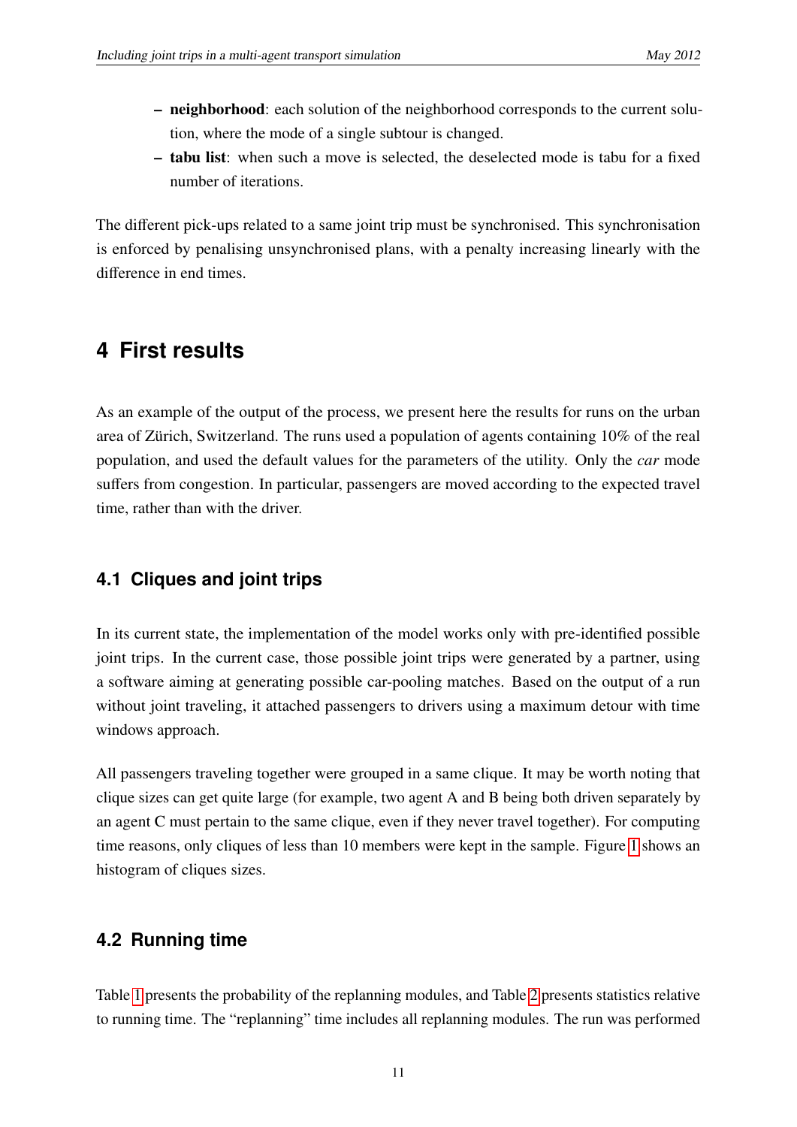- neighborhood: each solution of the neighborhood corresponds to the current solution, where the mode of a single subtour is changed.
- tabu list: when such a move is selected, the deselected mode is tabu for a fixed number of iterations.

The different pick-ups related to a same joint trip must be synchronised. This synchronisation is enforced by penalising unsynchronised plans, with a penalty increasing linearly with the difference in end times.

# <span id="page-12-0"></span>**4 First results**

As an example of the output of the process, we present here the results for runs on the urban area of Zürich, Switzerland. The runs used a population of agents containing 10% of the real population, and used the default values for the parameters of the utility. Only the *car* mode suffers from congestion. In particular, passengers are moved according to the expected travel time, rather than with the driver.

## **4.1 Cliques and joint trips**

In its current state, the implementation of the model works only with pre-identified possible joint trips. In the current case, those possible joint trips were generated by a partner, using a software aiming at generating possible car-pooling matches. Based on the output of a run without joint traveling, it attached passengers to drivers using a maximum detour with time windows approach.

All passengers traveling together were grouped in a same clique. It may be worth noting that clique sizes can get quite large (for example, two agent A and B being both driven separately by an agent C must pertain to the same clique, even if they never travel together). For computing time reasons, only cliques of less than 10 members were kept in the sample. Figure [1](#page-13-0) shows an histogram of cliques sizes.

## **4.2 Running time**

Table [1](#page-13-1) presents the probability of the replanning modules, and Table [2](#page-14-0) presents statistics relative to running time. The "replanning" time includes all replanning modules. The run was performed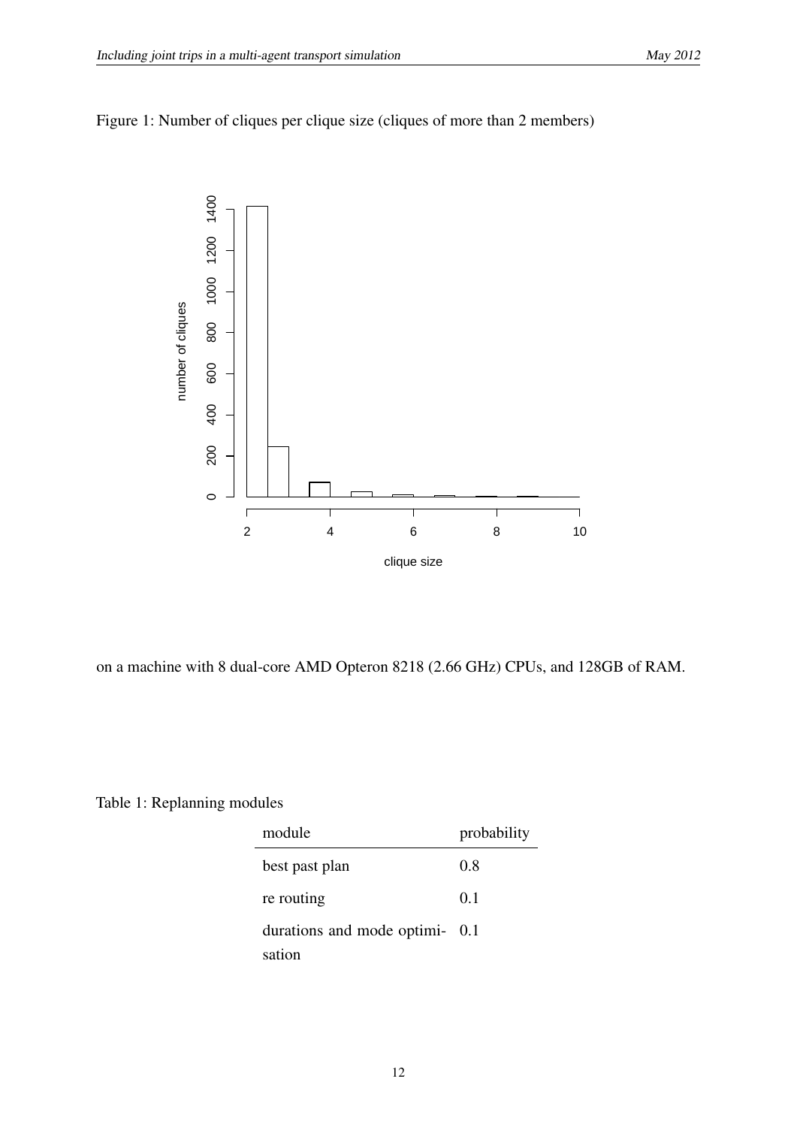<span id="page-13-0"></span>



on a machine with 8 dual-core AMD Opteron 8218 (2.66 GHz) CPUs, and 128GB of RAM.

<span id="page-13-1"></span>Table 1: Replanning modules

| module                         | probability |
|--------------------------------|-------------|
| best past plan                 | 0.8         |
| re routing                     | 0.1         |
| durations and mode optimi- 0.1 |             |
| sation                         |             |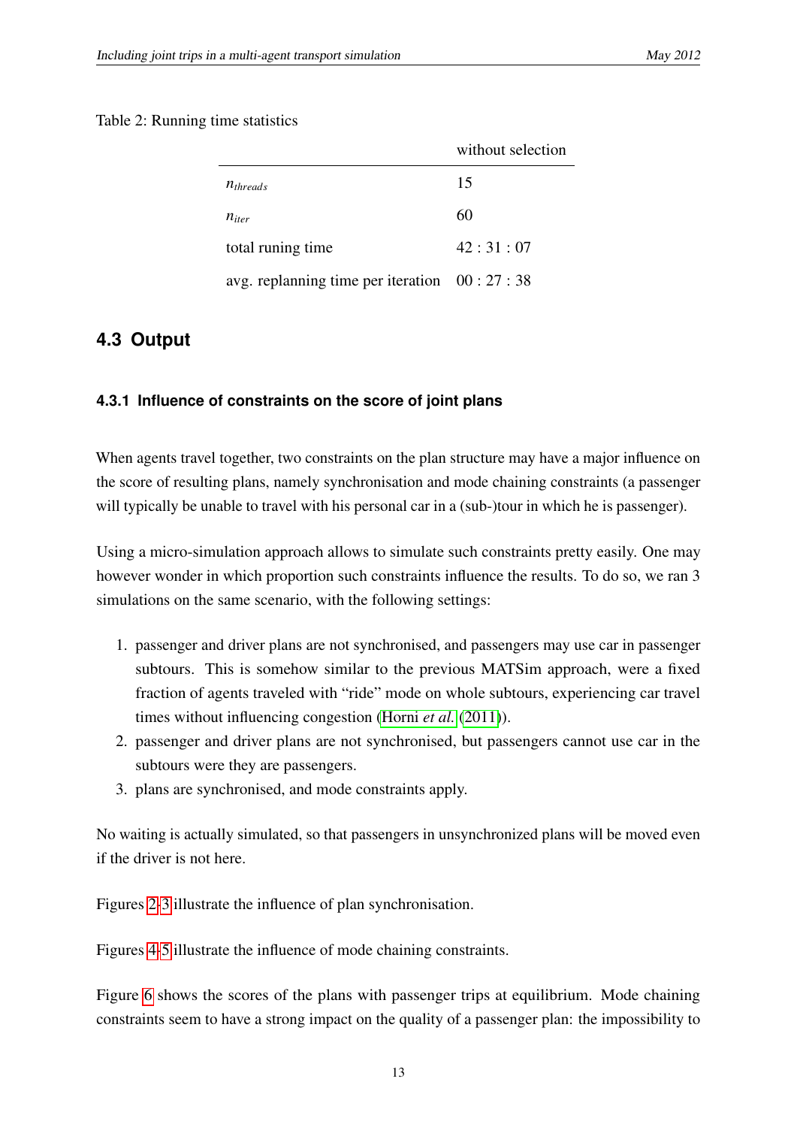#### <span id="page-14-0"></span>Table 2: Running time statistics

|                                               | without selection |
|-----------------------------------------------|-------------------|
| $n_{threads}$                                 | 15                |
| $n_{iter}$                                    | 60                |
| total runing time                             | 42:31:07          |
| avg. replanning time per iteration $00:27:38$ |                   |

# **4.3 Output**

## **4.3.1 Influence of constraints on the score of joint plans**

When agents travel together, two constraints on the plan structure may have a major influence on the score of resulting plans, namely synchronisation and mode chaining constraints (a passenger will typically be unable to travel with his personal car in a (sub-)tour in which he is passenger).

Using a micro-simulation approach allows to simulate such constraints pretty easily. One may however wonder in which proportion such constraints influence the results. To do so, we ran 3 simulations on the same scenario, with the following settings:

- 1. passenger and driver plans are not synchronised, and passengers may use car in passenger subtours. This is somehow similar to the previous MATSim approach, were a fixed fraction of agents traveled with "ride" mode on whole subtours, experiencing car travel times without influencing congestion [\(Horni](#page-22-13) *et al.* [\(2011\)](#page-22-13)).
- 2. passenger and driver plans are not synchronised, but passengers cannot use car in the subtours were they are passengers.
- 3. plans are synchronised, and mode constraints apply.

No waiting is actually simulated, so that passengers in unsynchronized plans will be moved even if the driver is not here.

Figures [2-](#page-15-0)[3](#page-15-1) illustrate the influence of plan synchronisation.

Figures [4-](#page-16-0)[5](#page-16-1) illustrate the influence of mode chaining constraints.

Figure [6](#page-17-0) shows the scores of the plans with passenger trips at equilibrium. Mode chaining constraints seem to have a strong impact on the quality of a passenger plan: the impossibility to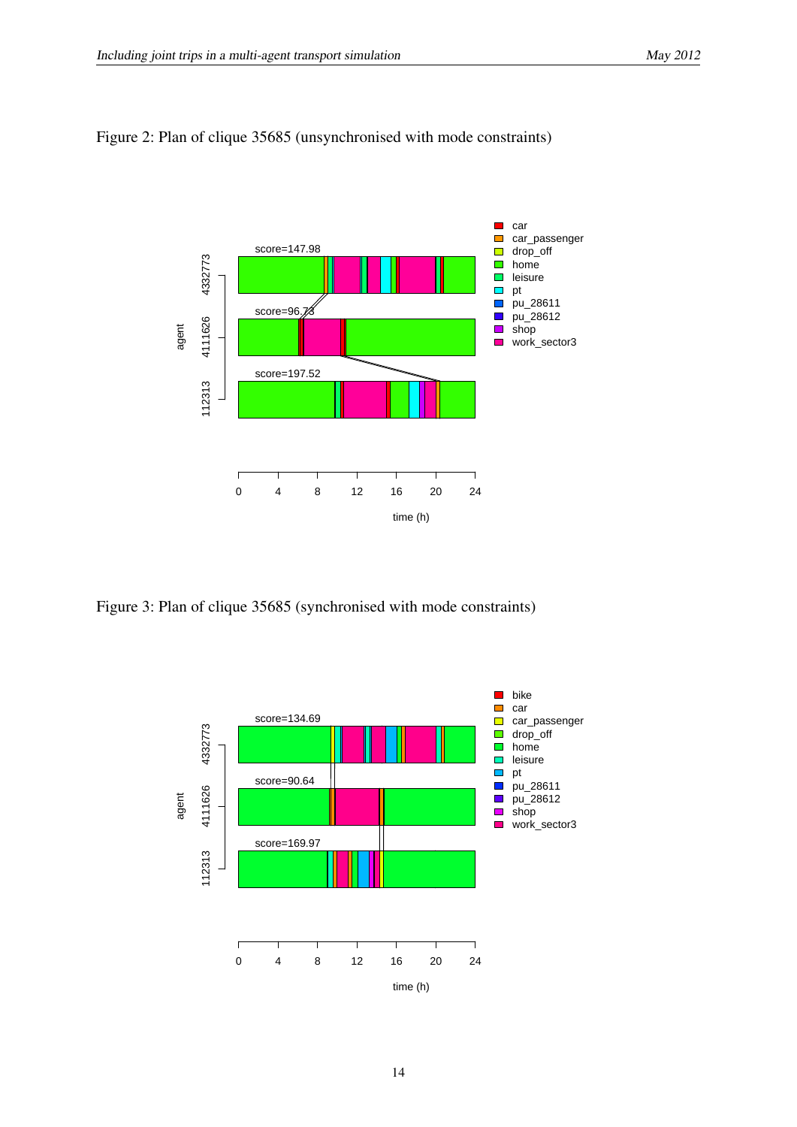

#### <span id="page-15-0"></span>Figure 2: Plan of clique 35685 (unsynchronised with mode constraints)

<span id="page-15-1"></span>Figure 3: Plan of clique 35685 (synchronised with mode constraints)

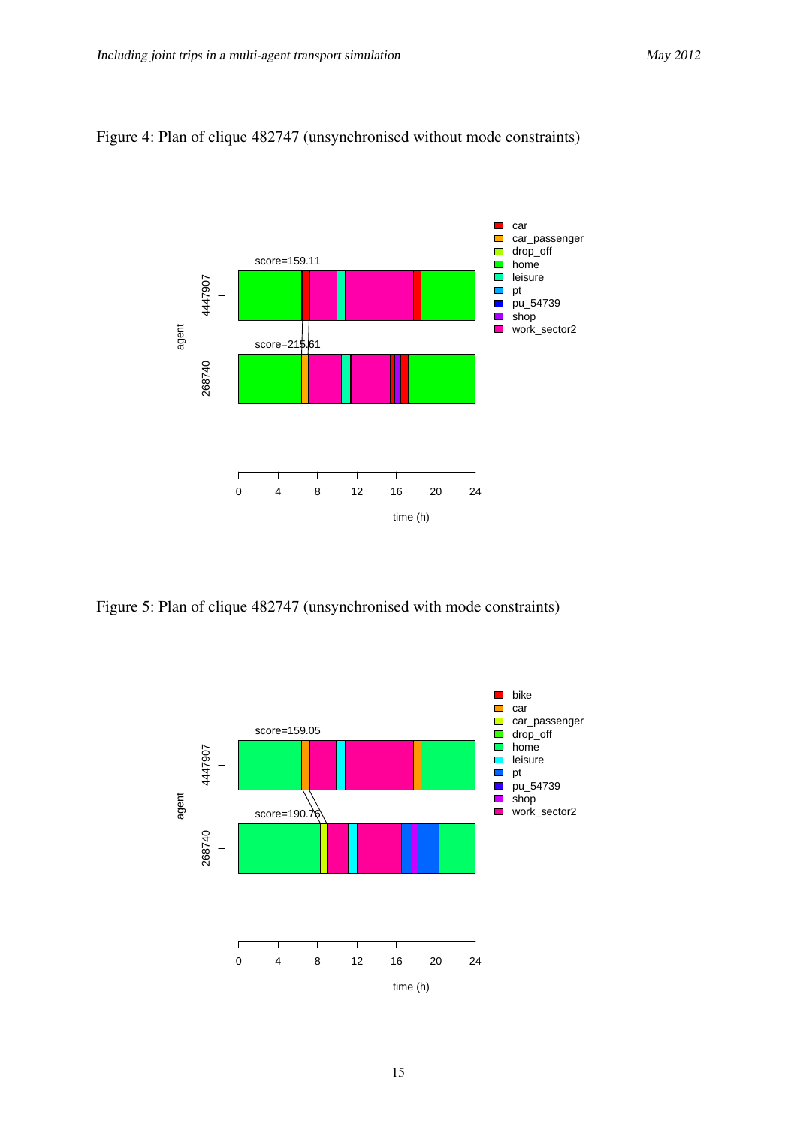

#### <span id="page-16-0"></span>Figure 4: Plan of clique 482747 (unsynchronised without mode constraints)

<span id="page-16-1"></span>Figure 5: Plan of clique 482747 (unsynchronised with mode constraints)

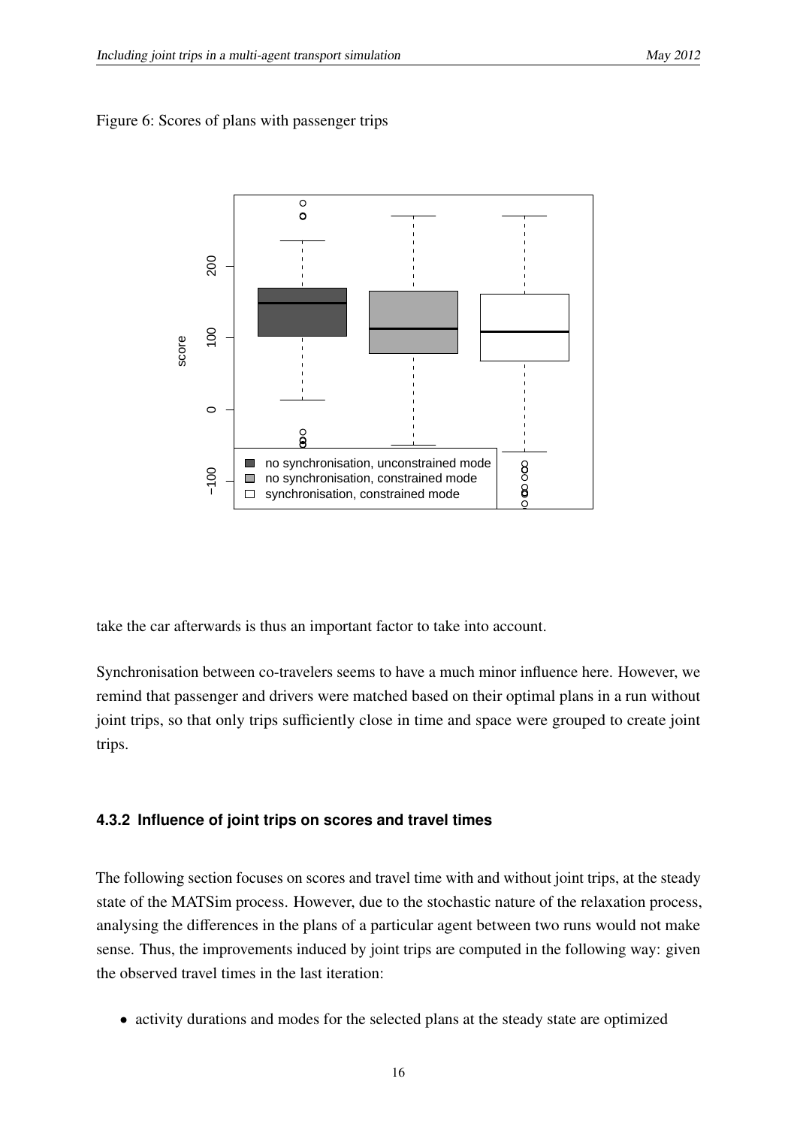<span id="page-17-0"></span>



take the car afterwards is thus an important factor to take into account.

Synchronisation between co-travelers seems to have a much minor influence here. However, we remind that passenger and drivers were matched based on their optimal plans in a run without joint trips, so that only trips sufficiently close in time and space were grouped to create joint trips.

#### **4.3.2 Influence of joint trips on scores and travel times**

The following section focuses on scores and travel time with and without joint trips, at the steady state of the MATSim process. However, due to the stochastic nature of the relaxation process, analysing the differences in the plans of a particular agent between two runs would not make sense. Thus, the improvements induced by joint trips are computed in the following way: given the observed travel times in the last iteration:

• activity durations and modes for the selected plans at the steady state are optimized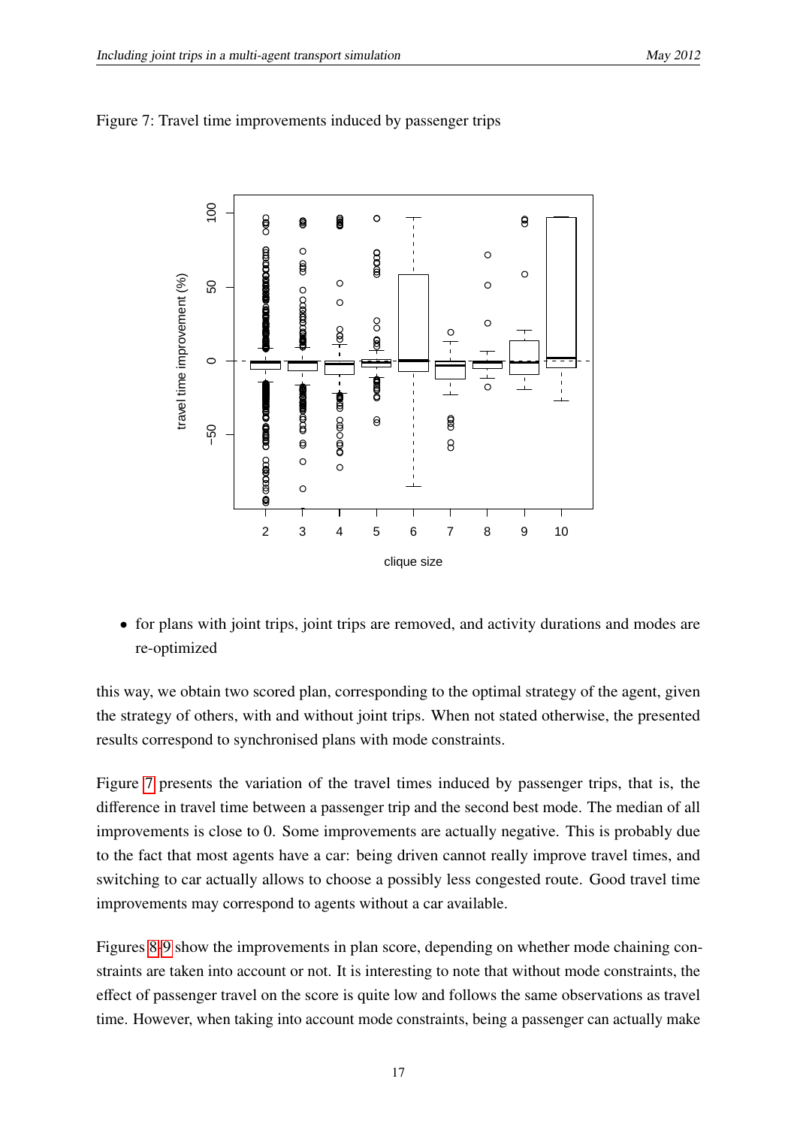

<span id="page-18-0"></span>Figure 7: Travel time improvements induced by passenger trips

• for plans with joint trips, joint trips are removed, and activity durations and modes are re-optimized

this way, we obtain two scored plan, corresponding to the optimal strategy of the agent, given the strategy of others, with and without joint trips. When not stated otherwise, the presented results correspond to synchronised plans with mode constraints.

Figure [7](#page-18-0) presents the variation of the travel times induced by passenger trips, that is, the difference in travel time between a passenger trip and the second best mode. The median of all improvements is close to 0. Some improvements are actually negative. This is probably due to the fact that most agents have a car: being driven cannot really improve travel times, and switching to car actually allows to choose a possibly less congested route. Good travel time improvements may correspond to agents without a car available.

Figures [8-](#page-19-0)[9](#page-20-0) show the improvements in plan score, depending on whether mode chaining constraints are taken into account or not. It is interesting to note that without mode constraints, the effect of passenger travel on the score is quite low and follows the same observations as travel time. However, when taking into account mode constraints, being a passenger can actually make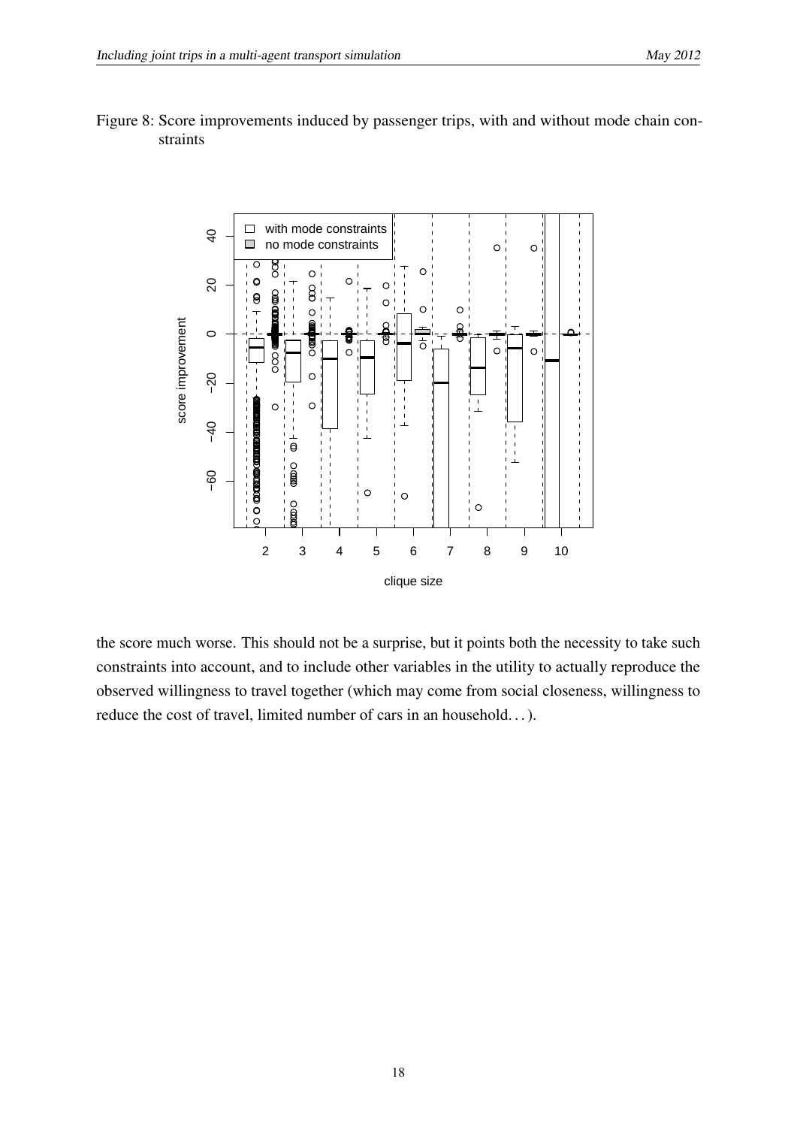

<span id="page-19-0"></span>Figure 8: Score improvements induced by passenger trips, with and without mode chain constraints

the score much worse. This should not be a surprise, but it points both the necessity to take such constraints into account, and to include other variables in the utility to actually reproduce the observed willingness to travel together (which may come from social closeness, willingness to reduce the cost of travel, limited number of cars in an household. . . ).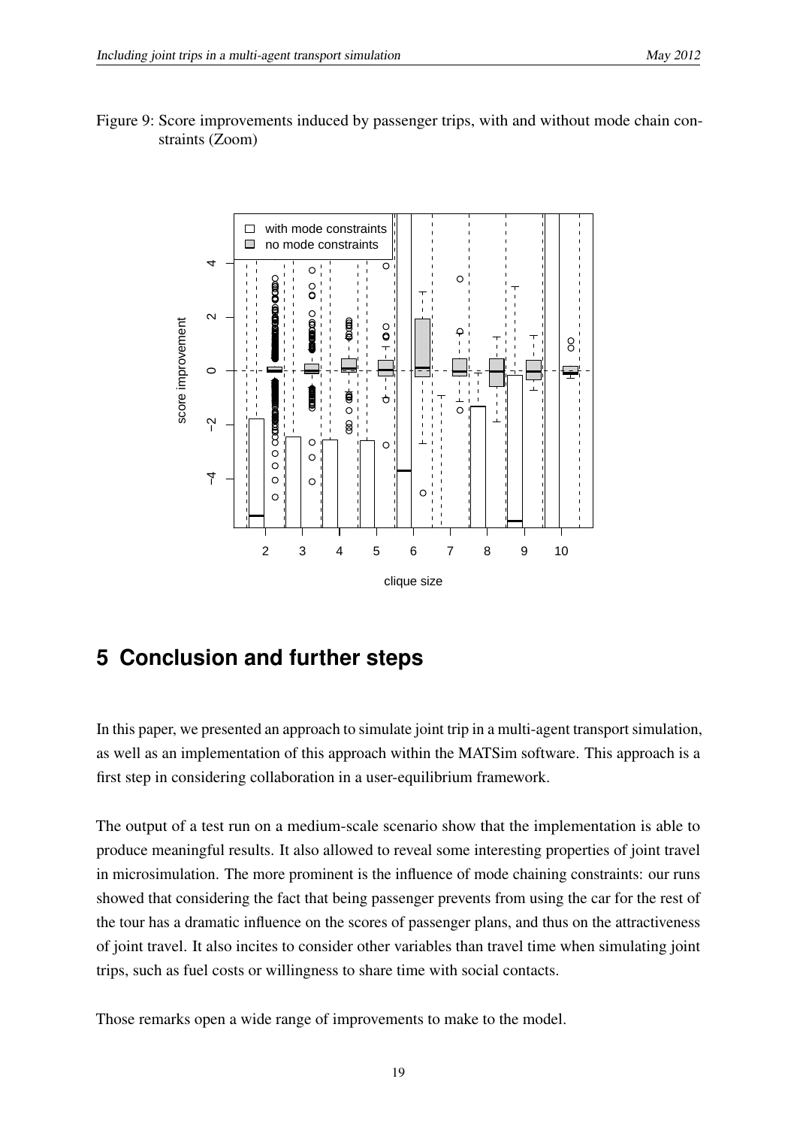<span id="page-20-0"></span>



# **5 Conclusion and further steps**

In this paper, we presented an approach to simulate joint trip in a multi-agent transport simulation, as well as an implementation of this approach within the MATSim software. This approach is a first step in considering collaboration in a user-equilibrium framework.

The output of a test run on a medium-scale scenario show that the implementation is able to produce meaningful results. It also allowed to reveal some interesting properties of joint travel in microsimulation. The more prominent is the influence of mode chaining constraints: our runs showed that considering the fact that being passenger prevents from using the car for the rest of the tour has a dramatic influence on the scores of passenger plans, and thus on the attractiveness of joint travel. It also incites to consider other variables than travel time when simulating joint trips, such as fuel costs or willingness to share time with social contacts.

Those remarks open a wide range of improvements to make to the model.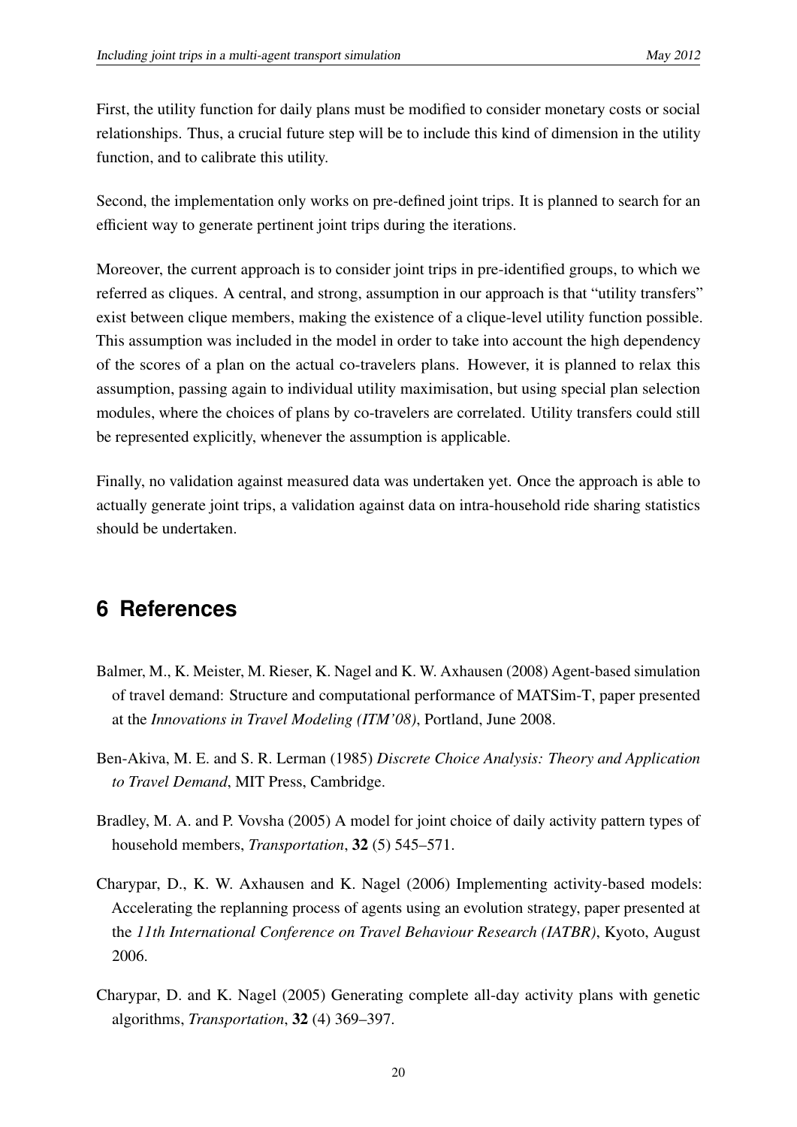First, the utility function for daily plans must be modified to consider monetary costs or social relationships. Thus, a crucial future step will be to include this kind of dimension in the utility function, and to calibrate this utility.

Second, the implementation only works on pre-defined joint trips. It is planned to search for an efficient way to generate pertinent joint trips during the iterations.

Moreover, the current approach is to consider joint trips in pre-identified groups, to which we referred as cliques. A central, and strong, assumption in our approach is that "utility transfers" exist between clique members, making the existence of a clique-level utility function possible. This assumption was included in the model in order to take into account the high dependency of the scores of a plan on the actual co-travelers plans. However, it is planned to relax this assumption, passing again to individual utility maximisation, but using special plan selection modules, where the choices of plans by co-travelers are correlated. Utility transfers could still be represented explicitly, whenever the assumption is applicable.

Finally, no validation against measured data was undertaken yet. Once the approach is able to actually generate joint trips, a validation against data on intra-household ride sharing statistics should be undertaken.

# **6 References**

- <span id="page-21-0"></span>Balmer, M., K. Meister, M. Rieser, K. Nagel and K. W. Axhausen (2008) Agent-based simulation of travel demand: Structure and computational performance of MATSim-T, paper presented at the *Innovations in Travel Modeling (ITM'08)*, Portland, June 2008.
- <span id="page-21-3"></span>Ben-Akiva, M. E. and S. R. Lerman (1985) *Discrete Choice Analysis: Theory and Application to Travel Demand*, MIT Press, Cambridge.
- <span id="page-21-4"></span>Bradley, M. A. and P. Vovsha (2005) A model for joint choice of daily activity pattern types of household members, *Transportation*, 32 (5) 545–571.
- <span id="page-21-2"></span>Charypar, D., K. W. Axhausen and K. Nagel (2006) Implementing activity-based models: Accelerating the replanning process of agents using an evolution strategy, paper presented at the *11th International Conference on Travel Behaviour Research (IATBR)*, Kyoto, August 2006.
- <span id="page-21-1"></span>Charypar, D. and K. Nagel (2005) Generating complete all-day activity plans with genetic algorithms, *Transportation*, 32 (4) 369–397.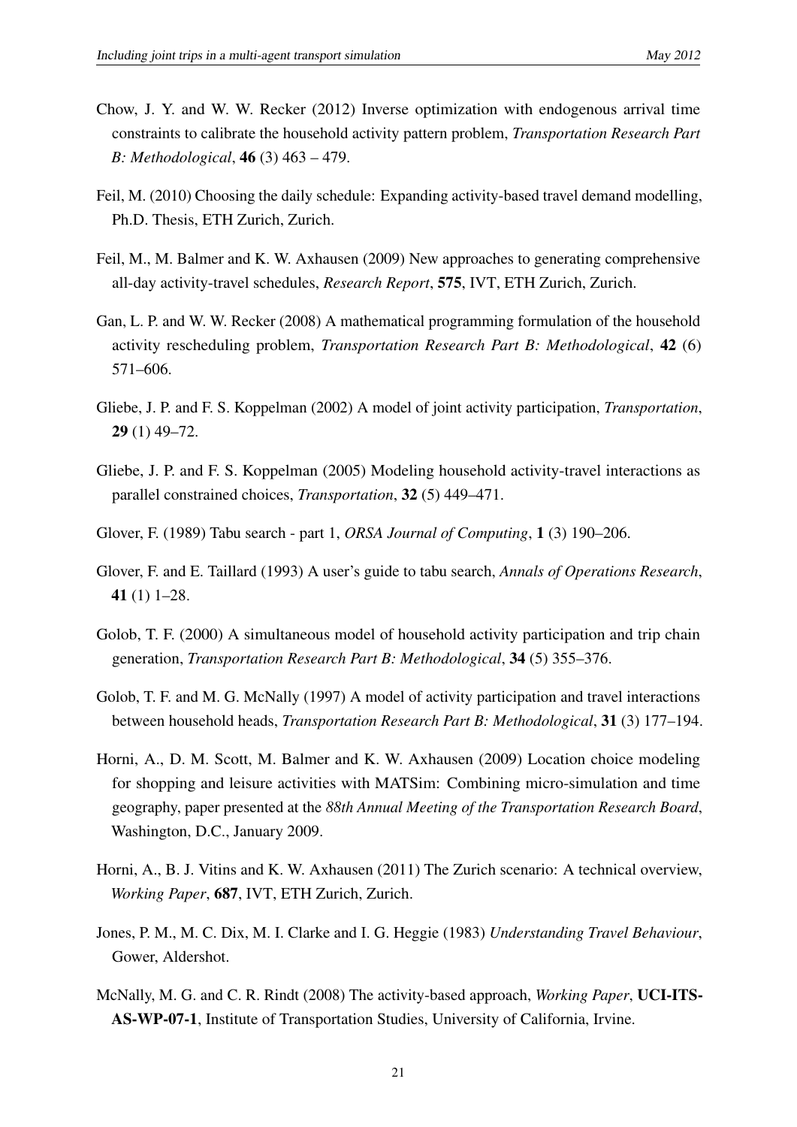- <span id="page-22-9"></span>Chow, J. Y. and W. W. Recker (2012) Inverse optimization with endogenous arrival time constraints to calibrate the household activity pattern problem, *Transportation Research Part B: Methodological*, 46 (3) 463 – 479.
- <span id="page-22-3"></span>Feil, M. (2010) Choosing the daily schedule: Expanding activity-based travel demand modelling, Ph.D. Thesis, ETH Zurich, Zurich.
- <span id="page-22-4"></span>Feil, M., M. Balmer and K. W. Axhausen (2009) New approaches to generating comprehensive all-day activity-travel schedules, *Research Report*, 575, IVT, ETH Zurich, Zurich.
- <span id="page-22-10"></span>Gan, L. P. and W. W. Recker (2008) A mathematical programming formulation of the household activity rescheduling problem, *Transportation Research Part B: Methodological*, 42 (6) 571–606.
- <span id="page-22-6"></span>Gliebe, J. P. and F. S. Koppelman (2002) A model of joint activity participation, *Transportation*, 29 (1) 49–72.
- <span id="page-22-5"></span>Gliebe, J. P. and F. S. Koppelman (2005) Modeling household activity-travel interactions as parallel constrained choices, *Transportation*, 32 (5) 449–471.
- <span id="page-22-11"></span>Glover, F. (1989) Tabu search - part 1, *ORSA Journal of Computing*, 1 (3) 190–206.
- <span id="page-22-12"></span>Glover, F. and E. Taillard (1993) A user's guide to tabu search, *Annals of Operations Research*, 41 (1) 1–28.
- <span id="page-22-8"></span>Golob, T. F. (2000) A simultaneous model of household activity participation and trip chain generation, *Transportation Research Part B: Methodological*, 34 (5) 355–376.
- <span id="page-22-7"></span>Golob, T. F. and M. G. McNally (1997) A model of activity participation and travel interactions between household heads, *Transportation Research Part B: Methodological*, 31 (3) 177–194.
- <span id="page-22-2"></span>Horni, A., D. M. Scott, M. Balmer and K. W. Axhausen (2009) Location choice modeling for shopping and leisure activities with MATSim: Combining micro-simulation and time geography, paper presented at the *88th Annual Meeting of the Transportation Research Board*, Washington, D.C., January 2009.
- <span id="page-22-13"></span>Horni, A., B. J. Vitins and K. W. Axhausen (2011) The Zurich scenario: A technical overview, *Working Paper*, 687, IVT, ETH Zurich, Zurich.
- <span id="page-22-0"></span>Jones, P. M., M. C. Dix, M. I. Clarke and I. G. Heggie (1983) *Understanding Travel Behaviour*, Gower, Aldershot.
- <span id="page-22-1"></span>McNally, M. G. and C. R. Rindt (2008) The activity-based approach, *Working Paper*, UCI-ITS-AS-WP-07-1, Institute of Transportation Studies, University of California, Irvine.